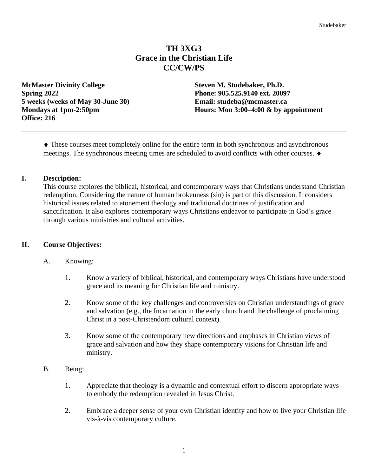# **TH 3XG3 Grace in the Christian Life CC/CW/PS**

**McMaster Divinity College Steven M. Studebaker, Ph.D. Spring 2022 Phone: 905.525.9140 ext. 20097 5 weeks (weeks of May 30-June 30) Email: studeba@mcmaster.ca Office: 216**

**Mondays at 1pm-2:50pm Hours: Mondays at 1pm-2:50pm** 

 These courses meet completely online for the entire term in both synchronous and asynchronous meetings. The synchronous meeting times are scheduled to avoid conflicts with other courses.

### **I. Description:**

This course explores the biblical, historical, and contemporary ways that Christians understand Christian redemption. Considering the nature of human brokenness (sin) is part of this discussion. It considers historical issues related to atonement theology and traditional doctrines of justification and sanctification. It also explores contemporary ways Christians endeavor to participate in God's grace through various ministries and cultural activities.

#### **II. Course Objectives:**

#### A. Knowing:

- 1. Know a variety of biblical, historical, and contemporary ways Christians have understood grace and its meaning for Christian life and ministry.
- 2. Know some of the key challenges and controversies on Christian understandings of grace and salvation (e.g., the Incarnation in the early church and the challenge of proclaiming Christ in a post-Christendom cultural context).
- 3. Know some of the contemporary new directions and emphases in Christian views of grace and salvation and how they shape contemporary visions for Christian life and ministry.
- B. Being:
	- 1. Appreciate that theology is a dynamic and contextual effort to discern appropriate ways to embody the redemption revealed in Jesus Christ.
	- 2. Embrace a deeper sense of your own Christian identity and how to live your Christian life vis-à-vis contemporary culture.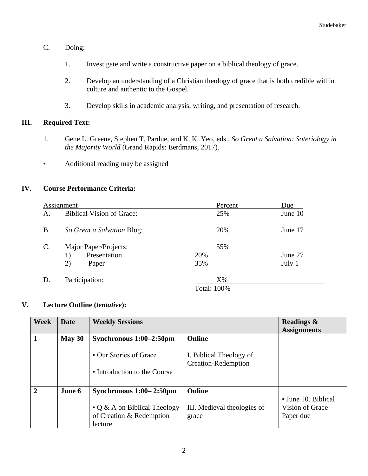- C. Doing:
	- 1. Investigate and write a constructive paper on a biblical theology of grace.
	- 2. Develop an understanding of a Christian theology of grace that is both credible within culture and authentic to the Gospel.
	- 3. Develop skills in academic analysis, writing, and presentation of research.

## **III. Required Text:**

- 1. Gene L. Greene, Stephen T. Pardue, and K. K. Yeo, eds., *So Great a Salvation: Soteriology in the Majority World* (Grand Rapids: Eerdmans, 2017).
- Additional reading may be assigned

## **IV. Course Performance Criteria:**

| Assignment     |                                  | Percent            | Due     |
|----------------|----------------------------------|--------------------|---------|
| Α.             | <b>Biblical Vision of Grace:</b> | 25%                | June 10 |
| <b>B.</b>      | So Great a Salvation Blog:       | 20%                | June 17 |
| $\mathbf{C}$ . | Major Paper/Projects:            | 55%                |         |
|                | Presentation<br>1)               | 20%                | June 27 |
|                | 2)<br>Paper                      | 35%                | July 1  |
| D.             | Participation:                   | $X\%$              |         |
|                |                                  | <b>Total: 100%</b> |         |

## **V. Lecture Outline (***tentative***):**

| <b>Week</b>    | <b>Date</b> | <b>Weekly Sessions</b>                                                    |                                                       | <b>Readings &amp;</b><br><b>Assignments</b> |
|----------------|-------------|---------------------------------------------------------------------------|-------------------------------------------------------|---------------------------------------------|
|                | May 30      | Synchronous $1:00-2:50$ pm                                                | <b>Online</b>                                         |                                             |
|                |             | • Our Stories of Grace                                                    | I. Biblical Theology of<br><b>Creation-Redemption</b> |                                             |
|                |             | • Introduction to the Course                                              |                                                       |                                             |
| $\overline{2}$ | June 6      | Synchronous $1:00-2:50$ pm                                                | <b>Online</b>                                         | • June 10, Biblical                         |
|                |             | $\cdot$ Q & A on Biblical Theology<br>of Creation & Redemption<br>lecture | III. Medieval theologies of<br>grace                  | Vision of Grace<br>Paper due                |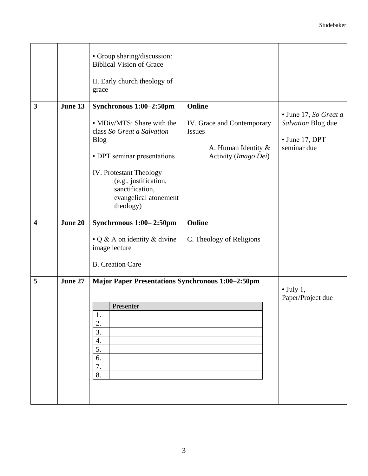|                         |         | • Group sharing/discussion:<br><b>Biblical Vision of Grace</b><br>II. Early church theology of<br>grace                                                                                                                                               |                                                                                                                |                                                                                      |
|-------------------------|---------|-------------------------------------------------------------------------------------------------------------------------------------------------------------------------------------------------------------------------------------------------------|----------------------------------------------------------------------------------------------------------------|--------------------------------------------------------------------------------------|
| 3                       | June 13 | Synchronous 1:00-2:50pm<br>• MDiv/MTS: Share with the<br>class So Great a Salvation<br><b>Blog</b><br>• DPT seminar presentations<br><b>IV.</b> Protestant Theology<br>(e.g., justification,<br>sanctification,<br>evangelical atonement<br>theology) | <b>Online</b><br>IV. Grace and Contemporary<br><b>Issues</b><br>A. Human Identity $\&$<br>Activity (Imago Dei) | • June 17, So Great a<br>Salvation Blog due<br>$\bullet$ June 17, DPT<br>seminar due |
| $\overline{\mathbf{4}}$ | June 20 | Synchronous 1:00-2:50pm                                                                                                                                                                                                                               | <b>Online</b>                                                                                                  |                                                                                      |
|                         |         | • Q & A on identity & divine<br>image lecture                                                                                                                                                                                                         | C. Theology of Religions                                                                                       |                                                                                      |
|                         |         | <b>B.</b> Creation Care                                                                                                                                                                                                                               |                                                                                                                |                                                                                      |
| 5                       | June 27 | <b>Major Paper Presentations Synchronous 1:00-2:50pm</b><br>Presenter<br>Ī.<br>2.<br>3.<br>4.<br>5.<br>6.<br>7.<br>8.                                                                                                                                 |                                                                                                                | $\bullet$ July 1,<br>Paper/Project due                                               |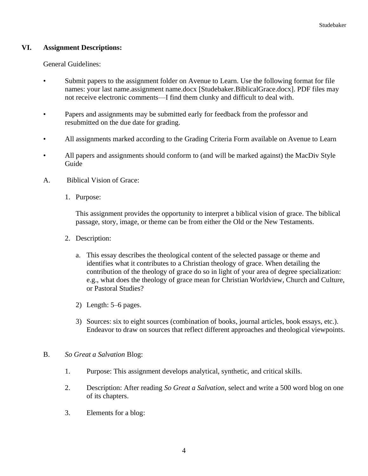### **VI. Assignment Descriptions:**

General Guidelines:

- Submit papers to the assignment folder on Avenue to Learn. Use the following format for file names: your last name.assignment name.docx [Studebaker.BiblicalGrace.docx]. PDF files may not receive electronic comments—I find them clunky and difficult to deal with.
- Papers and assignments may be submitted early for feedback from the professor and resubmitted on the due date for grading.
- All assignments marked according to the Grading Criteria Form available on Avenue to Learn
- All papers and assignments should conform to (and will be marked against) the MacDiv Style Guide
- A. Biblical Vision of Grace:
	- 1. Purpose:

This assignment provides the opportunity to interpret a biblical vision of grace. The biblical passage, story, image, or theme can be from either the Old or the New Testaments.

- 2. Description:
	- a. This essay describes the theological content of the selected passage or theme and identifies what it contributes to a Christian theology of grace. When detailing the contribution of the theology of grace do so in light of your area of degree specialization: e.g., what does the theology of grace mean for Christian Worldview, Church and Culture, or Pastoral Studies?
	- 2) Length: 5–6 pages.
	- 3) Sources: six to eight sources (combination of books, journal articles, book essays, etc.). Endeavor to draw on sources that reflect different approaches and theological viewpoints.
- B. *So Great a Salvation* Blog:
	- 1. Purpose: This assignment develops analytical, synthetic, and critical skills.
	- 2. Description: After reading *So Great a Salvation*, select and write a 500 word blog on one of its chapters.
	- 3. Elements for a blog: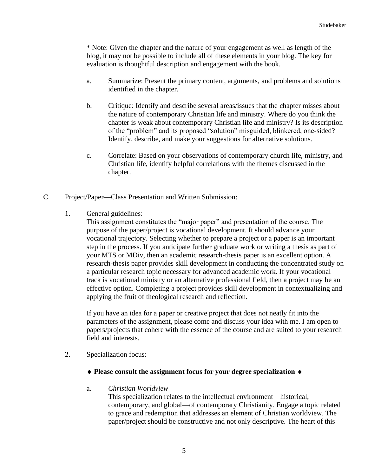\* Note: Given the chapter and the nature of your engagement as well as length of the blog, it may not be possible to include all of these elements in your blog. The key for evaluation is thoughtful description and engagement with the book.

- a. Summarize: Present the primary content, arguments, and problems and solutions identified in the chapter.
- b. Critique: Identify and describe several areas/issues that the chapter misses about the nature of contemporary Christian life and ministry. Where do you think the chapter is weak about contemporary Christian life and ministry? Is its description of the "problem" and its proposed "solution" misguided, blinkered, one-sided? Identify, describe, and make your suggestions for alternative solutions.
- c. Correlate: Based on your observations of contemporary church life, ministry, and Christian life, identify helpful correlations with the themes discussed in the chapter.
- C. Project/Paper—Class Presentation and Written Submission:
	- 1. General guidelines:

This assignment constitutes the "major paper" and presentation of the course. The purpose of the paper/project is vocational development. It should advance your vocational trajectory. Selecting whether to prepare a project or a paper is an important step in the process. If you anticipate further graduate work or writing a thesis as part of your MTS or MDiv, then an academic research-thesis paper is an excellent option. A research-thesis paper provides skill development in conducting the concentrated study on a particular research topic necessary for advanced academic work. If your vocational track is vocational ministry or an alternative professional field, then a project may be an effective option. Completing a project provides skill development in contextualizing and applying the fruit of theological research and reflection.

If you have an idea for a paper or creative project that does not neatly fit into the parameters of the assignment, please come and discuss your idea with me. I am open to papers/projects that cohere with the essence of the course and are suited to your research field and interests.

2. Specialization focus:

#### **Please consult the assignment focus for your degree specialization**

#### a. *Christian Worldview*

This specialization relates to the intellectual environment—historical, contemporary, and global—of contemporary Christianity. Engage a topic related to grace and redemption that addresses an element of Christian worldview. The paper/project should be constructive and not only descriptive. The heart of this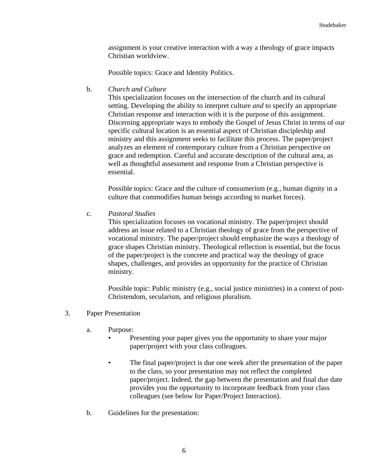assignment is your creative interaction with a way a theology of grace impacts Christian worldview.

Possible topics: Grace and Identity Politics.

b. *Church and Culture*

This specialization focuses on the intersection of the church and its cultural setting. Developing the ability to interpret culture *and* to specify an appropriate Christian response and interaction with it is the purpose of this assignment. Discerning appropriate ways to embody the Gospel of Jesus Christ in terms of our specific cultural location is an essential aspect of Christian discipleship and ministry and this assignment seeks to facilitate this process. The paper/project analyzes an element of contemporary culture from a Christian perspective on grace and redemption. Careful and accurate description of the cultural area, as well as thoughtful assessment and response from a Christian perspective is essential.

Possible topics: Grace and the culture of consumerism (e.g., human dignity in a culture that commodifies human beings according to market forces).

c. *Pastoral Studies*

This specialization focuses on vocational ministry. The paper/project should address an issue related to a Christian theology of grace from the perspective of vocational ministry. The paper/project should emphasize the ways a theology of grace shapes Christian ministry. Theological reflection is essential, but the focus of the paper/project is the concrete and practical way the theology of grace shapes, challenges, and provides an opportunity for the practice of Christian ministry.

Possible topic: Public ministry (e.g., social justice ministries) in a context of post-Christendom, secularism, and religious pluralism.

- 3. Paper Presentation
	- a. Purpose:
		- Presenting your paper gives you the opportunity to share your major paper/project with your class colleagues.
		- The final paper/project is due one week after the presentation of the paper to the class, so your presentation may not reflect the completed paper/project. Indeed, the gap between the presentation and final due date provides you the opportunity to incorporate feedback from your class colleagues (see below for Paper/Project Interaction).
	- b. Guidelines for the presentation: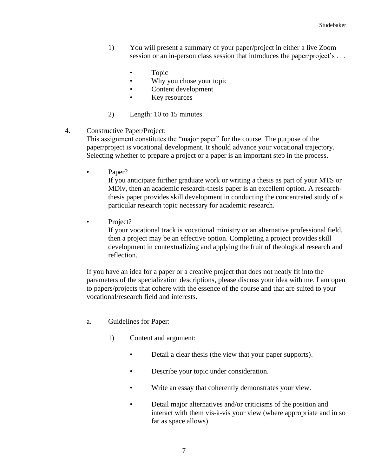- 1) You will present a summary of your paper/project in either a live Zoom session or an in-person class session that introduces the paper/project's ...
	- Topic
	- Why you chose your topic
	- Content development
	- Key resources
- 2) Length: 10 to 15 minutes.
- 4. Constructive Paper/Project:

This assignment constitutes the "major paper" for the course. The purpose of the paper/project is vocational development. It should advance your vocational trajectory. Selecting whether to prepare a project or a paper is an important step in the process.

Paper?

If you anticipate further graduate work or writing a thesis as part of your MTS or MDiv, then an academic research-thesis paper is an excellent option. A researchthesis paper provides skill development in conducting the concentrated study of a particular research topic necessary for academic research.

• Project?

If your vocational track is vocational ministry or an alternative professional field, then a project may be an effective option. Completing a project provides skill development in contextualizing and applying the fruit of theological research and reflection.

If you have an idea for a paper or a creative project that does not neatly fit into the parameters of the specialization descriptions, please discuss your idea with me. I am open to papers/projects that cohere with the essence of the course and that are suited to your vocational/research field and interests.

- a. Guidelines for Paper:
	- 1) Content and argument:
		- Detail a clear thesis (the view that your paper supports).
		- Describe your topic under consideration.
		- Write an essay that coherently demonstrates your view.
		- Detail major alternatives and/or criticisms of the position and interact with them vis-à-vis your view (where appropriate and in so far as space allows).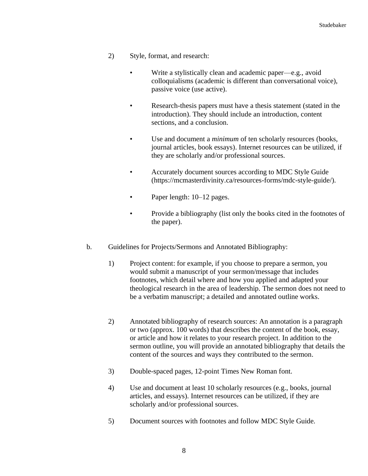- 2) Style, format, and research:
	- Write a stylistically clean and academic paper—e.g., avoid colloquialisms (academic is different than conversational voice), passive voice (use active).
	- Research-thesis papers must have a thesis statement (stated in the introduction). They should include an introduction, content sections, and a conclusion.
	- Use and document a *minimum* of ten scholarly resources (books, journal articles, book essays). Internet resources can be utilized, if they are scholarly and/or professional sources.
	- Accurately document sources according to MDC Style Guide (https://mcmasterdivinity.ca/resources-forms/mdc-style-guide/).
	- Paper length:  $10-12$  pages.
	- Provide a bibliography (list only the books cited in the footnotes of the paper).
- b. Guidelines for Projects/Sermons and Annotated Bibliography:
	- 1) Project content: for example, if you choose to prepare a sermon, you would submit a manuscript of your sermon/message that includes footnotes, which detail where and how you applied and adapted your theological research in the area of leadership. The sermon does not need to be a verbatim manuscript; a detailed and annotated outline works.
	- 2) Annotated bibliography of research sources: An annotation is a paragraph or two (approx. 100 words) that describes the content of the book, essay, or article and how it relates to your research project. In addition to the sermon outline, you will provide an annotated bibliography that details the content of the sources and ways they contributed to the sermon.
	- 3) Double-spaced pages, 12-point Times New Roman font.
	- 4) Use and document at least 10 scholarly resources (e.g., books, journal articles, and essays). Internet resources can be utilized, if they are scholarly and/or professional sources.
	- 5) Document sources with footnotes and follow MDC Style Guide.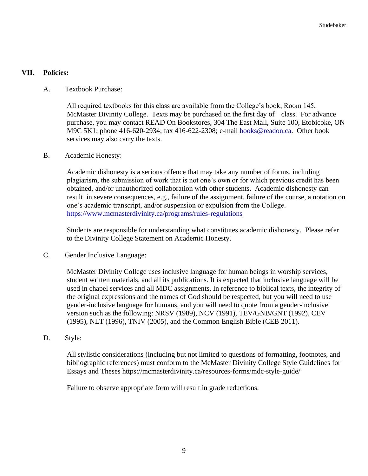### **VII. Policies:**

A. Textbook Purchase:

All required textbooks for this class are available from the College's book, Room 145, McMaster Divinity College. Texts may be purchased on the first day of class. For advance purchase, you may contact READ On Bookstores, 304 The East Mall, Suite 100, Etobicoke, ON M9C 5K1: phone 416-620-2934; fax 416-622-2308; e-mail [books@readon.ca.](mailto:books@readon.ca) Other book services may also carry the texts.

B. Academic Honesty:

Academic dishonesty is a serious offence that may take any number of forms, including plagiarism, the submission of work that is not one's own or for which previous credit has been obtained, and/or unauthorized collaboration with other students. Academic dishonesty can result in severe consequences, e.g., failure of the assignment, failure of the course, a notation on one's academic transcript, and/or suspension or expulsion from the College. <https://www.mcmasterdivinity.ca/programs/rules-regulations>

Students are responsible for understanding what constitutes academic dishonesty. Please refer to the Divinity College Statement on Academic Honesty.

C. Gender Inclusive Language:

McMaster Divinity College uses inclusive language for human beings in worship services, student written materials, and all its publications. It is expected that inclusive language will be used in chapel services and all MDC assignments. In reference to biblical texts, the integrity of the original expressions and the names of God should be respected, but you will need to use gender-inclusive language for humans, and you will need to quote from a gender-inclusive version such as the following: NRSV (1989), NCV (1991), TEV/GNB/GNT (1992), CEV (1995), NLT (1996), TNIV (2005), and the Common English Bible (CEB 2011).

D. Style:

All stylistic considerations (including but not limited to questions of formatting, footnotes, and bibliographic references) must conform to the McMaster Divinity College Style Guidelines for Essays and Theses https://mcmasterdivinity.ca/resources-forms/mdc-style-guide/

Failure to observe appropriate form will result in grade reductions.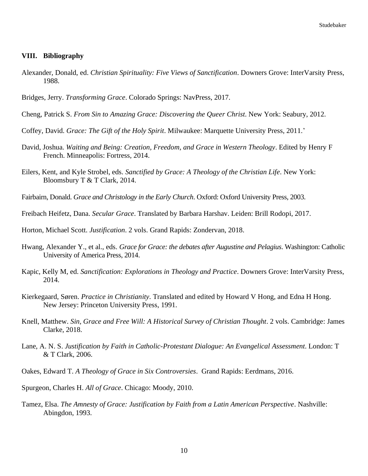#### **VIII. Bibliography**

- Alexander, Donald, ed. *Christian Spirituality: Five Views of Sanctification*. Downers Grove: InterVarsity Press, 1988.
- Bridges, Jerry. *Transforming Grace*. Colorado Springs: NavPress, 2017.
- Cheng, Patrick S. *From Sin to Amazing Grace: Discovering the Queer Christ*. New York: Seabury, 2012.
- Coffey, David. *Grace: The Gift of the Holy Spirit*. Milwaukee: Marquette University Press, 2011.'
- David, Joshua. *Waiting and Being: Creation, Freedom, and Grace in Western Theology*. Edited by Henry F French. Minneapolis: Fortress, 2014.
- Eilers, Kent, and Kyle Strobel, eds. *Sanctified by Grace: A Theology of the Christian Life*. New York: Bloomsbury T & T Clark, 2014.
- Fairbairn, Donald. *Grace and Christology in the Early Church*. Oxford: Oxford University Press, 2003.
- Freibach Heifetz, Dana. *Secular Grace*. Translated by Barbara Harshav. Leiden: Brill Rodopi, 2017.
- Horton, Michael Scott. *Justification*. 2 vols. Grand Rapids: Zondervan, 2018.
- Hwang, Alexander Y., et al., eds. *Grace for Grace: the debates after Augustine and Pelagius*. Washington: Catholic University of America Press, 2014.
- Kapic, Kelly M, ed. *Sanctification: Explorations in Theology and Practice*. Downers Grove: InterVarsity Press, 2014.
- Kierkegaard, Søren. *Practice in Christianity*. Translated and edited by Howard V Hong, and Edna H Hong. New Jersey: Princeton University Press, 1991.
- Knell, Matthew. *Sin, Grace and Free Will: A Historical Survey of Christian Thought*. 2 vols. Cambridge: James Clarke, 2018.
- Lane, A. N. S. *Justification by Faith in Catholic-Protestant Dialogue: An Evangelical Assessment*. London: T & T Clark, 2006.
- Oakes, Edward T. *A Theology of Grace in Six Controversies*. Grand Rapids: Eerdmans, 2016.
- Spurgeon, Charles H. *All of Grace*. Chicago: Moody, 2010.
- Tamez, Elsa. *The Amnesty of Grace: Justification by Faith from a Latin American Perspective*. Nashville: Abingdon, 1993.